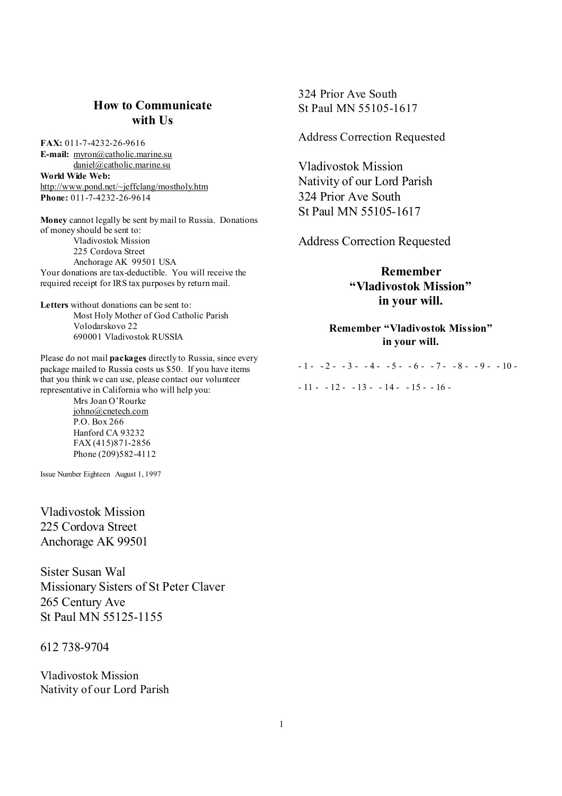# **How to Communicate with Us**

**FAX:** 011-7-4232-26-9616 **E-mail:** [myron@catholic.marine.su](mailto:myron@catholic.marine.su) [daniel@catholic.marine.su](mailto:daniel@catholic.marine.su) **World Wide Web:** <http://www.pond.net/~jeffclang/mostholy.htm> **Phone:** 011-7-4232-26-9614

**Money** cannot legally be sent by mail to Russia. Donations of money should be sent to: Vladivostok Mission 225 Cordova Street Anchorage AK 99501 USA Your donations are tax-deductible. You will receive the required receipt for IRS tax purposes by return mail.

**Letters** without donations can be sent to: Most Holy Mother of God Catholic Parish Volodarskovo 22 690001 Vladivostok RUSSIA

Please do not mail **packages** directly to Russia, since every package mailed to Russia costs us \$50. If you have items that you think we can use, please contact our volunteer representative in California who will help you:

Mrs Joan O'Rourke [johno@cnetech.com](mailto:johno@cnetech.com) P.O. Box 266 Hanford CA 93232 FAX (415)871-2856 Phone (209)582-4112

Issue Number Eighteen August 1, 1997

Vladivostok Mission 225 Cordova Street Anchorage AK 99501

Sister Susan Wal Missionary Sisters of St Peter Claver 265 Century Ave St Paul MN 55125-1155

612 738-9704

Vladivostok Mission Nativity of our Lord Parish 324 Prior Ave South St Paul MN 55105-1617

Address Correction Requested

Vladivostok Mission Nativity of our Lord Parish 324 Prior Ave South St Paul MN 55105-1617

Address Correction Requested

**Remember "Vladivostok Mission" in your will.** 

**Remember "Vladivostok Mission" in your will.** 

 $-1$  -  $-2$  -  $-3$  -  $-4$  -  $-5$  -  $-6$  -  $-7$  -  $-8$  -  $-9$  -  $-10$  - $-11 - 12 - -13 - -14 - -15 - -16 -$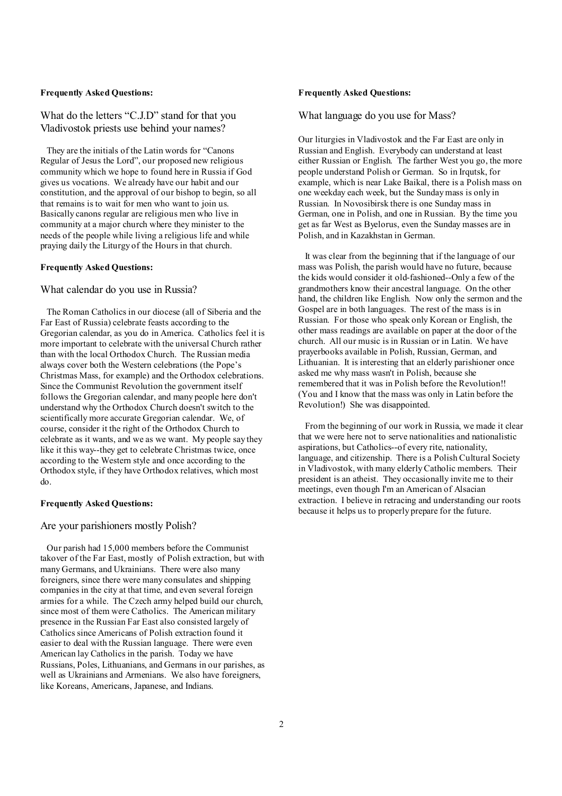#### **Frequently Asked Questions:**

What do the letters "C.J.D" stand for that you Vladivostok priests use behind your names?

They are the initials of the Latin words for "Canons Regular of Jesus the Lord", our proposed new religious community which we hope to found here in Russia if God gives us vocations. We already have our habit and our constitution, and the approval of our bishop to begin, so all that remains is to wait for men who want to join us. Basically canons regular are religious men who live in community at a major church where they minister to the needs of the people while living a religious life and while praying daily the Liturgy of the Hours in that church.

### **Frequently Asked Questions:**

### What calendar do you use in Russia?

The Roman Catholics in our diocese (all of Siberia and the Far East of Russia) celebrate feasts according to the Gregorian calendar, as you do in America. Catholics feel it is more important to celebrate with the universal Church rather than with the local Orthodox Church. The Russian media always cover both the Western celebrations (the Pope's Christmas Mass, for example) and the Orthodox celebrations. Since the Communist Revolution the government itself follows the Gregorian calendar, and many people here don't understand why the Orthodox Church doesn't switch to the scientifically more accurate Gregorian calendar. We, of course, consider it the right of the Orthodox Church to celebrate as it wants, and we as we want. My people say they like it this way--they get to celebrate Christmas twice, once according to the Western style and once according to the Orthodox style, if they have Orthodox relatives, which most do.

#### **Frequently Asked Questions:**

### Are your parishioners mostly Polish?

Our parish had 15,000 members before the Communist takover of the Far East, mostly of Polish extraction, but with many Germans, and Ukrainians. There were also many foreigners, since there were many consulates and shipping companies in the city at that time, and even several foreign armies for a while. The Czech army helped build our church, since most of them were Catholics. The American military presence in the Russian Far East also consisted largely of Catholics since Americans of Polish extraction found it easier to deal with the Russian language. There were even American lay Catholics in the parish. Today we have Russians, Poles, Lithuanians, and Germans in our parishes, as well as Ukrainians and Armenians. We also have foreigners, like Koreans, Americans, Japanese, and Indians.

### **Frequently Asked Questions:**

What language do you use for Mass?

Our liturgies in Vladivostok and the Far East are only in Russian and English. Everybody can understand at least either Russian or English. The farther West you go, the more people understand Polish or German. So in Irqutsk, for example, which is near Lake Baikal, there is a Polish mass on one weekday each week, but the Sundaymass is only in Russian. In Novosibirsk there is one Sunday mass in German, one in Polish, and one in Russian. By the time you get as far West as Byelorus, even the Sunday masses are in Polish, and in Kazakhstan in German.

 It was clear from the beginning that if the language of our mass was Polish, the parish would have no future, because the kids would consider it old-fashioned--Only a few of the grandmothers know their ancestral language. On the other hand, the children like English. Now only the sermon and the Gospel are in both languages. The rest of the mass is in Russian. For those who speak only Korean or English, the other mass readings are available on paper at the door of the church. All our music is in Russian or in Latin. We have prayerbooks available in Polish, Russian, German, and Lithuanian. It is interesting that an elderly parishioner once asked me why mass wasn't in Polish, because she remembered that it was in Polish before the Revolution!! (You and I know that the mass was only in Latin before the Revolution!) She was disappointed.

 From the beginning of our work in Russia, we made it clear that we were here not to serve nationalities and nationalistic aspirations, but Catholics--of every rite, nationality, language, and citizenship. There is a Polish Cultural Society in Vladivostok, with many elderly Catholic members. Their president is an atheist. They occasionally invite me to their meetings, even though I'm an American of Alsacian extraction. I believe in retracing and understanding our roots because it helps us to properly prepare for the future.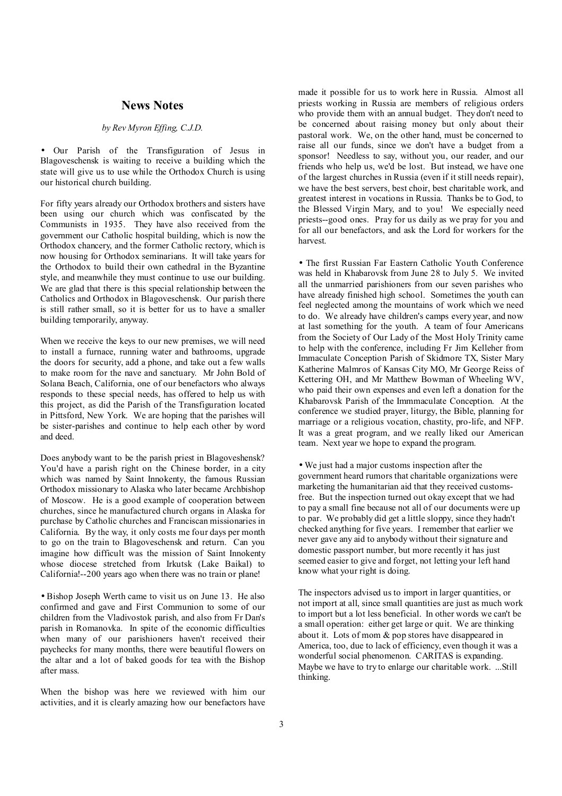### **News Notes**

### *by Rev Myron Effing, C.J.D.*

• Our Parish of the Transfiguration of Jesus in Blagoveschensk is waiting to receive a building which the state will give us to use while the Orthodox Church is using our historical church building.

For fifty years already our Orthodox brothers and sisters have been using our church which was confiscated by the Communists in 1935. They have also received from the government our Catholic hospital building, which is now the Orthodox chancery, and the former Catholic rectory, which is now housing for Orthodox seminarians. It will take years for the Orthodox to build their own cathedral in the Byzantine style, and meanwhile they must continue to use our building. We are glad that there is this special relationship between the Catholics and Orthodox in Blagoveschensk. Our parish there is still rather small, so it is better for us to have a smaller building temporarily, anyway.

When we receive the keys to our new premises, we will need to install a furnace, running water and bathrooms, upgrade the doors for security, add a phone, and take out a few walls to make room for the nave and sanctuary. Mr John Bold of Solana Beach, California, one of our benefactors who always responds to these special needs, has offered to help us with this project, as did the Parish of the Transfiguration located in Pittsford, New York. We are hoping that the parishes will be sister-parishes and continue to help each other by word and deed.

Does anybody want to be the parish priest in Blagoveshensk? You'd have a parish right on the Chinese border, in a city which was named by Saint Innokenty, the famous Russian Orthodox missionary to Alaska who later became Archbishop of Moscow. He is a good example of cooperation between churches, since he manufactured church organs in Alaska for purchase by Catholic churches and Franciscan missionaries in California. By the way, it only costs me four days per month to go on the train to Blagoveschensk and return. Can you imagine how difficult was the mission of Saint Innokenty whose diocese stretched from Irkutsk (Lake Baikal) to California!--200 years ago when there was no train or plane!

• Bishop Joseph Werth came to visit us on June 13. He also confirmed and gave and First Communion to some of our children from the Vladivostok parish, and also from Fr Dan's parish in Romanovka. In spite of the economic difficulties when many of our parishioners haven't received their paychecks for many months, there were beautiful flowers on the altar and a lot of baked goods for tea with the Bishop after mass.

When the bishop was here we reviewed with him our activities, and it is clearly amazing how our benefactors have

made it possible for us to work here in Russia. Almost all priests working in Russia are members of religious orders who provide them with an annual budget. They don't need to be concerned about raising money but only about their pastoral work. We, on the other hand, must be concerned to raise all our funds, since we don't have a budget from a sponsor! Needless to say, without you, our reader, and our friends who help us, we'd be lost. But instead, we have one of the largest churches in Russia (even if it still needs repair), we have the best servers, best choir, best charitable work, and greatest interest in vocations in Russia. Thanks be to God, to the Blessed Virgin Mary, and to you! We especially need priests--good ones. Pray for us daily as we pray for you and for all our benefactors, and ask the Lord for workers for the harvest.

• The first Russian Far Eastern Catholic Youth Conference was held in Khabarovsk from June 28 to July 5. We invited all the unmarried parishioners from our seven parishes who have already finished high school. Sometimes the youth can feel neglected among the mountains of work which we need to do. We already have children's camps every year, and now at last something for the youth. A team of four Americans from the Society of Our Lady of the Most Holy Trinity came to help with the conference, including Fr Jim Kelleher from Immaculate Conception Parish of Skidmore TX, Sister Mary Katherine Malmros of Kansas City MO, Mr George Reiss of Kettering OH, and Mr Matthew Bowman of Wheeling WV, who paid their own expenses and even left a donation for the Khabarovsk Parish of the Immmaculate Conception. At the conference we studied prayer, liturgy, the Bible, planning for marriage or a religious vocation, chastity, pro-life, and NFP. It was a great program, and we really liked our American team. Next year we hope to expand the program.

• We just had a major customs inspection after the government heard rumors that charitable organizations were marketing the humanitarian aid that they received customsfree. But the inspection turned out okay except that we had to pay a small fine because not all of our documents were up to par. We probably did get a little sloppy, since they hadn't checked anything for five years. I remember that earlier we never gave any aid to anybody without their signature and domestic passport number, but more recently it has just seemed easier to give and forget, not letting your left hand know what your right is doing.

The inspectors advised us to import in larger quantities, or not import at all, since small quantities are just as much work to import but a lot less beneficial. In other words we can't be a small operation: either get large or quit. We are thinking about it. Lots of mom & pop stores have disappeared in America, too, due to lack of efficiency, even though it was a wonderful social phenomenon. CARITAS is expanding. Maybe we have to try to enlarge our charitable work. ...Still thinking.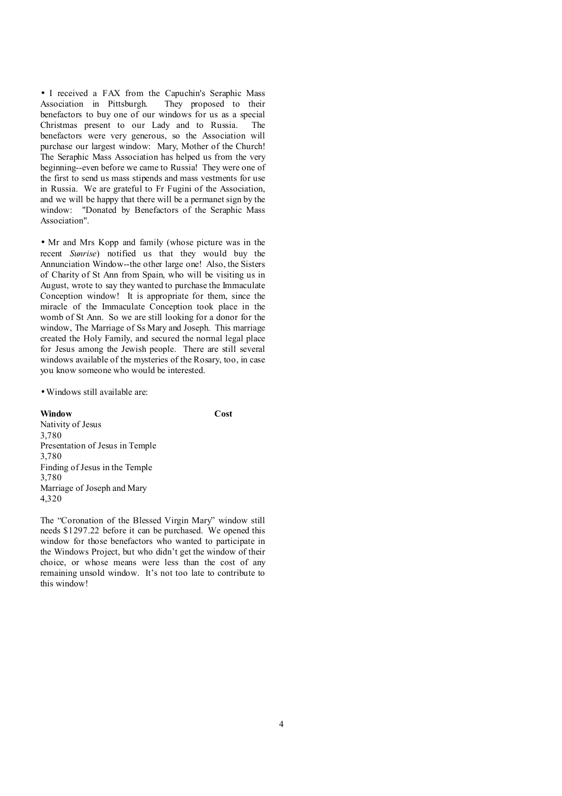• I received a FAX from the Capuchin's Seraphic Mass Association in Pittsburgh. They proposed to their benefactors to buy one of our windows for us as a special Christmas present to our Lady and to Russia. The benefactors were very generous, so the Association will purchase our largest window: Mary, Mother of the Church! The Seraphic Mass Association has helped us from the very beginning--even before we came to Russia! They were one of the first to send us mass stipends and mass vestments for use in Russia. We are grateful to Fr Fugini of the Association, and we will be happy that there will be a permanet sign by the window: "Donated by Benefactors of the Seraphic Mass Association".

• Mr and Mrs Kopp and family (whose picture was in the recent *Sunrise*) notified us that they would buy the Annunciation Window--the other large one! Also, the Sisters of Charity of St Ann from Spain, who will be visiting us in August, wrote to say they wanted to purchase the Immaculate Conception window! It is appropriate for them, since the miracle of the Immaculate Conception took place in the womb of St Ann. So we are still looking for a donor for the window, The Marriage of Ss Mary and Joseph. This marriage created the Holy Family, and secured the normal legal place for Jesus among the Jewish people. There are still several windows available of the mysteries of the Rosary, too, in case you know someone who would be interested.

• Windows still available are:

**Window Cost** 

Nativity of Jesus 3,780 Presentation of Jesus in Temple 3,780 Finding of Jesus in the Temple 3,780 Marriage of Joseph and Mary 4,320

The "Coronation of the Blessed Virgin Mary" window still needs \$1297.22 before it can be purchased. We opened this window for those benefactors who wanted to participate in the Windows Project, but who didn't get the window of their choice, or whose means were less than the cost of any remaining unsold window. It's not too late to contribute to this window!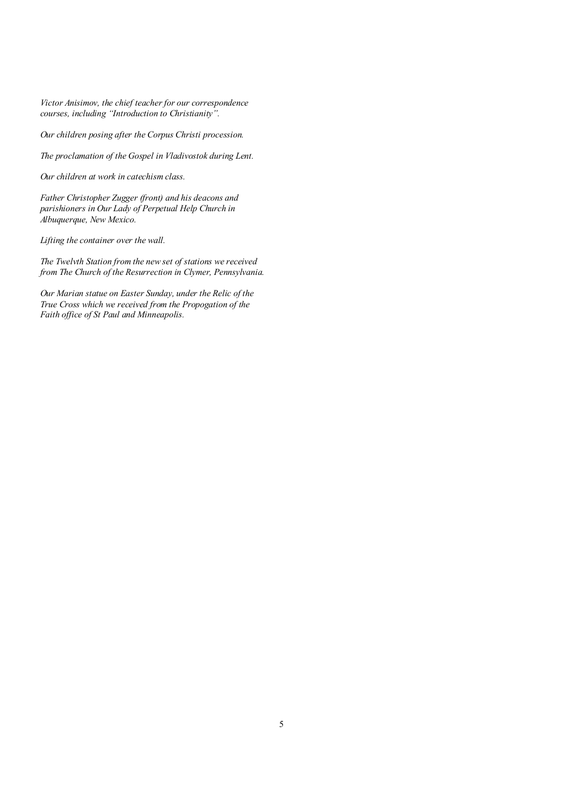*Victor Anisimov, the chief teacher for our correspondence courses, including "Introduction to Christianity".* 

*Our children posing after the Corpus Christi procession.* 

*The proclamation of the Gospel in Vladivostok during Lent.* 

*Our children at work in catechism class.* 

*Father Christopher Zugger (front) and his deacons and parishioners in Our Lady of Perpetual Help Church in Albuquerque, New Mexico.* 

*Lifting the container over the wall.* 

*The Twelvth Station from the new set of stations we received from The Church of the Resurrection in Clymer, Pennsylvania.* 

*Our Marian statue on Easter Sunday, under the Relic of the True Cross which we received from the Propogation of the Faith office of St Paul and Minneapolis.*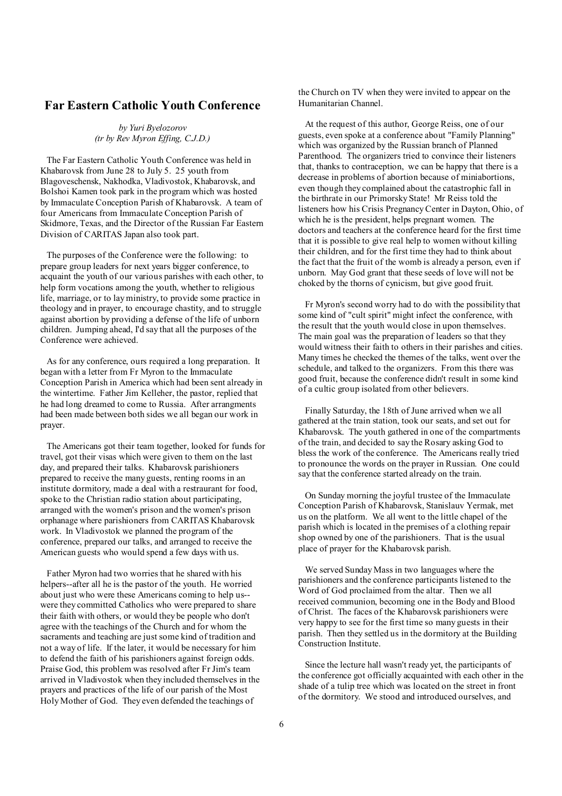### **Far Eastern Catholic Youth Conference**

*by Yuri Byelozorov (tr by Rev Myron Effing, C.J.D.)* 

The Far Eastern Catholic Youth Conference was held in Khabarovsk from June 28 to July 5. 25 youth from Blagoveschensk, Nakhodka, Vladivostok, Khabarovsk, and Bolshoi Kamen took park in the program which was hosted by Immaculate Conception Parish of Khabarovsk. A team of four Americans from Immaculate Conception Parish of Skidmore, Texas, and the Director of the Russian Far Eastern Division of CARITAS Japan also took part.

The purposes of the Conference were the following: to prepare group leaders for next years bigger conference, to acquaint the youth of our various parishes with each other, to help form vocations among the youth, whether to religious life, marriage, or to lay ministry, to provide some practice in theology and in prayer, to encourage chastity, and to struggle against abortion by providing a defense of the life of unborn children. Jumping ahead, I'd say that all the purposes of the Conference were achieved.

As for any conference, ours required a long preparation. It began with a letter from Fr Myron to the Immaculate Conception Parish in America which had been sent already in the wintertime. Father Jim Kelleher, the pastor, replied that he had long dreamed to come to Russia. After arrangments had been made between both sides we all began our work in prayer.

The Americans got their team together, looked for funds for travel, got their visas which were given to them on the last day, and prepared their talks. Khabarovsk parishioners prepared to receive the many guests, renting rooms in an institute dormitory, made a deal with a restraurant for food, spoke to the Christian radio station about participating, arranged with the women's prison and the women's prison orphanage where parishioners from CARITAS Khabarovsk work. In Vladivostok we planned the program of the conference, prepared our talks, and arranged to receive the American guests who would spend a few days with us.

Father Myron had two worries that he shared with his helpers--after all he is the pastor of the youth. He worried about just who were these Americans coming to help us- were they committed Catholics who were prepared to share their faith with others, or would they be people who don't agree with the teachings of the Church and for whom the sacraments and teaching are just some kind of tradition and not a way of life. If the later, it would be necessary for him to defend the faith of his parishioners against foreign odds. Praise God, this problem was resolved after Fr Jim's team arrived in Vladivostok when they included themselves in the prayers and practices of the life of our parish of the Most Holy Mother of God. They even defended the teachings of

the Church on TV when they were invited to appear on the Humanitarian Channel.

 At the request of this author, George Reiss, one of our guests, even spoke at a conference about "Family Planning" which was organized by the Russian branch of Planned Parenthood. The organizers tried to convince their listeners that, thanks to contraception, we can be happy that there is a decrease in problems of abortion because of miniabortions, even though they complained about the catastrophic fall in the birthrate in our Primorsky State! Mr Reiss told the listeners how his Crisis PregnancyCenter in Dayton, Ohio, of which he is the president, helps pregnant women. The doctors and teachers at the conference heard for the first time that it is possible to give real help to women without killing their children, and for the first time they had to think about the fact that the fruit of the womb is already a person, even if unborn. May God grant that these seeds of love will not be choked by the thorns of cynicism, but give good fruit.

 Fr Myron's second worry had to do with the possibility that some kind of "cult spirit" might infect the conference, with the result that the youth would close in upon themselves. The main goal was the preparation of leaders so that they would witness their faith to others in their parishes and cities. Many times he checked the themes of the talks, went over the schedule, and talked to the organizers. From this there was good fruit, because the conference didn't result in some kind of a cultic group isolated from other believers.

 Finally Saturday, the 18th of June arrived when we all gathered at the train station, took our seats, and set out for Khabarovsk. The youth gathered in one of the compartments of the train, and decided to say the Rosary asking God to bless the work of the conference. The Americans really tried to pronounce the words on the prayer in Russian. One could say that the conference started already on the train.

 On Sunday morning the joyful trustee of the Immaculate Conception Parish of Khabarovsk, Stanislauv Yermak, met us on the platform. We all went to the little chapel of the parish which is located in the premises of a clothing repair shop owned by one of the parishioners. That is the usual place of prayer for the Khabarovsk parish.

 We served Sunday Mass in two languages where the parishioners and the conference participants listened to the Word of God proclaimed from the altar. Then we all received communion, becoming one in the Body and Blood of Christ. The faces of the Khabarovsk parishioners were very happy to see for the first time so many guests in their parish. Then they settled us in the dormitory at the Building Construction Institute.

 Since the lecture hall wasn't ready yet, the participants of the conference got officially acquainted with each other in the shade of a tulip tree which was located on the street in front of the dormitory. We stood and introduced ourselves, and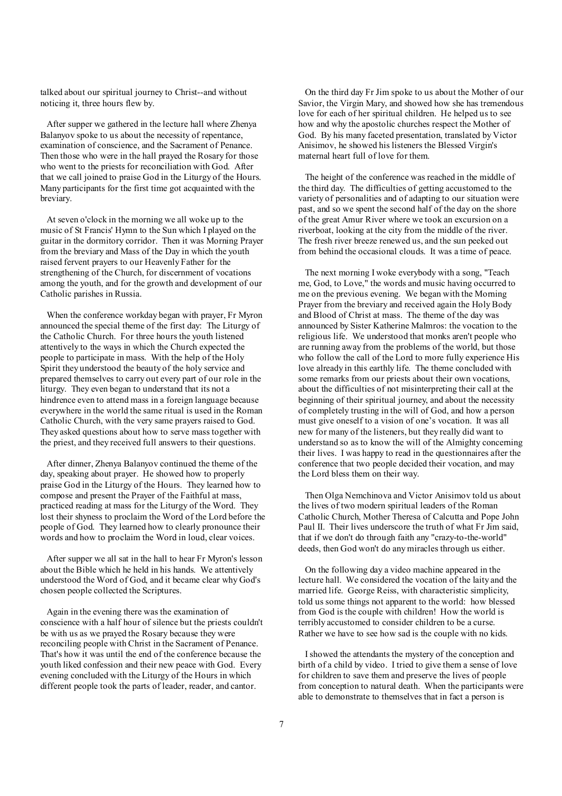talked about our spiritual journey to Christ--and without noticing it, three hours flew by.

After supper we gathered in the lecture hall where Zhenya Balanyov spoke to us about the necessity of repentance, examination of conscience, and the Sacrament of Penance. Then those who were in the hall prayed the Rosary for those who went to the priests for reconciliation with God. After that we call joined to praise God in the Liturgy of the Hours. Many participants for the first time got acquainted with the breviary.

At seven o'clock in the morning we all woke up to the music of St Francis' Hymn to the Sun which I played on the guitar in the dormitory corridor. Then it was Morning Prayer from the breviary and Mass of the Day in which the youth raised fervent prayers to our Heavenly Father for the strengthening of the Church, for discernment of vocations among the youth, and for the growth and development of our Catholic parishes in Russia.

When the conference workday began with prayer, Fr Myron announced the special theme of the first day: The Liturgy of the Catholic Church. For three hours the youth listened attentively to the ways in which the Church expected the people to participate in mass. With the help of the Holy Spirit they understood the beauty of the holy service and prepared themselves to carry out every part of our role in the liturgy. They even began to understand that its not a hindrence even to attend mass in a foreign language because everywhere in the world the same ritual is used in the Roman Catholic Church, with the very same prayers raised to God. They asked questions about how to serve mass together with the priest, and they received full answers to their questions.

After dinner, Zhenya Balanyov continued the theme of the day, speaking about prayer. He showed how to properly praise God in the Liturgy of the Hours. They learned how to compose and present the Prayer of the Faithful at mass, practiced reading at mass for the Liturgy of the Word. They lost their shyness to proclaim the Word of the Lord before the people of God. They learned how to clearly pronounce their words and how to proclaim the Word in loud, clear voices.

After supper we all sat in the hall to hear Fr Myron's lesson about the Bible which he held in his hands. We attentively understood the Word of God, and it became clear why God's chosen people collected the Scriptures.

Again in the evening there was the examination of conscience with a half hour of silence but the priests couldn't be with us as we prayed the Rosary because they were reconciling people with Christ in the Sacrament of Penance. That's how it was until the end of the conference because the youth liked confession and their new peace with God. Every evening concluded with the Liturgy of the Hours in which different people took the parts of leader, reader, and cantor.

 On the third day Fr Jim spoke to us about the Mother of our Savior, the Virgin Mary, and showed how she has tremendous love for each of her spiritual children. He helped us to see how and why the apostolic churches respect the Mother of God. By his many faceted presentation, translated by Victor Anisimov, he showed his listeners the Blessed Virgin's maternal heart full of love for them.

 The height of the conference was reached in the middle of the third day. The difficulties of getting accustomed to the variety of personalities and of adapting to our situation were past, and so we spent the second half of the day on the shore of the great Amur River where we took an excursion on a riverboat, looking at the city from the middle of the river. The fresh river breeze renewed us, and the sun peeked out from behind the occasional clouds. It was a time of peace.

 The next morning I woke everybody with a song, "Teach me, God, to Love," the words and music having occurred to me on the previous evening. We began with the Morning Prayer from the breviary and received again the Holy Body and Blood of Christ at mass. The theme of the day was announced by Sister Katherine Malmros: the vocation to the religious life. We understood that monks aren't people who are running away from the problems of the world, but those who follow the call of the Lord to more fully experience His love already in this earthly life. The theme concluded with some remarks from our priests about their own vocations, about the difficulties of not misinterpreting their call at the beginning of their spiritual journey, and about the necessity of completely trusting in the will of God, and how a person must give oneself to a vision of one's vocation. It was all new for many of the listeners, but they really did want to understand so as to know the will of the Almighty concerning their lives. I was happy to read in the questionnaires after the conference that two people decided their vocation, and may the Lord bless them on their way.

 Then Olga Nemchinova and Victor Anisimov told us about the lives of two modern spiritual leaders of the Roman Catholic Church, Mother Theresa of Calcutta and Pope John Paul II. Their lives underscore the truth of what Fr Jim said, that if we don't do through faith any "crazy-to-the-world" deeds, then God won't do any miracles through us either.

 On the following day a video machine appeared in the lecture hall. We considered the vocation of the laity and the married life. George Reiss, with characteristic simplicity, told us some things not apparent to the world: how blessed from God is the couple with children! How the world is terribly accustomed to consider children to be a curse. Rather we have to see how sad is the couple with no kids.

 Ishowed the attendants the mystery of the conception and birth of a child by video. I tried to give them a sense of love for children to save them and preserve the lives of people from conception to natural death. When the participants were able to demonstrate to themselves that in fact a person is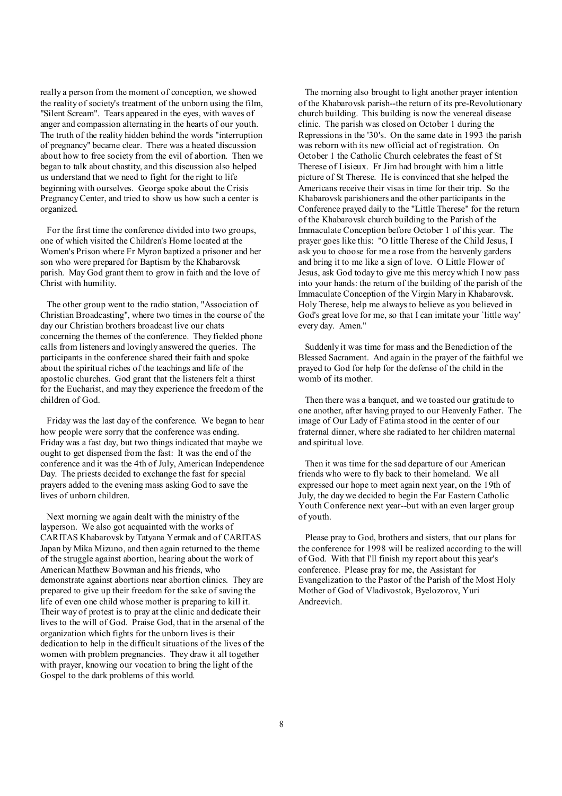really a person from the moment of conception, we showed the reality of society's treatment of the unborn using the film, "Silent Scream". Tears appeared in the eyes, with waves of anger and compassion alternating in the hearts of our youth. The truth of the reality hidden behind the words "interruption of pregnancy" became clear. There was a heated discussion about how to free society from the evil of abortion. Then we began to talk about chastity, and this discussion also helped us understand that we need to fight for the right to life beginning with ourselves. George spoke about the Crisis PregnancyCenter, and tried to show us how such a center is organized.

For the first time the conference divided into two groups, one of which visited the Children's Home located at the Women's Prison where Fr Myron baptized a prisoner and her son who were prepared for Baptism by the Khabarovsk parish. May God grant them to grow in faith and the love of Christ with humility.

The other group went to the radio station, "Association of Christian Broadcasting", where two times in the course of the day our Christian brothers broadcast live our chats concerning the themes of the conference. They fielded phone calls from listeners and lovingly answered the queries. The participants in the conference shared their faith and spoke about the spiritual riches of the teachings and life of the apostolic churches. God grant that the listeners felt a thirst for the Eucharist, and may they experience the freedom of the children of God.

Friday was the last day of the conference. We began to hear how people were sorry that the conference was ending. Friday was a fast day, but two things indicated that maybe we ought to get dispensed from the fast: It was the end of the conference and it was the 4th of July, American Independence Day. The priests decided to exchange the fast for special prayers added to the evening mass asking God to save the lives of unborn children.

Next morning we again dealt with the ministry of the layperson. We also got acquainted with the works of CARITAS Khabarovsk by Tatyana Yermak and of CARITAS Japan by Mika Mizuno, and then again returned to the theme of the struggle against abortion, hearing about the work of American Matthew Bowman and his friends, who demonstrate against abortions near abortion clinics. They are prepared to give up their freedom for the sake of saving the life of even one child whose mother is preparing to kill it. Their way of protest is to pray at the clinic and dedicate their lives to the will of God. Praise God, that in the arsenal of the organization which fights for the unborn lives is their dedication to help in the difficult situations of the lives of the women with problem pregnancies. They draw it all together with prayer, knowing our vocation to bring the light of the Gospel to the dark problems of this world.

 The morning also brought to light another prayer intention of the Khabarovsk parish--the return of its pre-Revolutionary church building. This building is now the venereal disease clinic. The parish was closed on October 1 during the Repressions in the '30's. On the same date in 1993 the parish was reborn with its new official act of registration. On October 1 the Catholic Church celebrates the feast of St Therese of Lisieux. Fr Jim had brought with him a little picture of St Therese. He is convinced that she helped the Americans receive their visas in time for their trip. So the Khabarovsk parishioners and the other participants in the Conference prayed daily to the "Little Therese" for the return of the Khabarovsk church building to the Parish of the Immaculate Conception before October 1 of this year. The prayer goes like this: "O little Therese of the Child Jesus, I ask you to choose for me a rose from the heavenly gardens and bring it to me like a sign of love. O Little Flower of Jesus, ask God today to give me this mercy which I now pass into your hands: the return of the building of the parish of the Immaculate Conception of the Virgin Mary in Khabarovsk. Holy Therese, help me always to believe as you believed in God's great love for me, so that I can imitate your `little way' every day. Amen."

 Suddenly it was time for mass and the Benediction of the Blessed Sacrament. And again in the prayer of the faithful we prayed to God for help for the defense of the child in the womb of its mother.

 Then there was a banquet, and we toasted our gratitude to one another, after having prayed to our Heavenly Father. The image of Our Lady of Fatima stood in the center of our fraternal dinner, where she radiated to her children maternal and spiritual love.

 Then it was time for the sad departure of our American friends who were to fly back to their homeland. We all expressed our hope to meet again next year, on the 19th of July, the day we decided to begin the Far Eastern Catholic Youth Conference next year--but with an even larger group of youth.

 Please pray to God, brothers and sisters, that our plans for the conference for 1998 will be realized according to the will of God. With that I'll finish my report about this year's conference. Please pray for me, the Assistant for Evangelization to the Pastor of the Parish of the Most Holy Mother of God of Vladivostok, Byelozorov, Yuri Andreevich.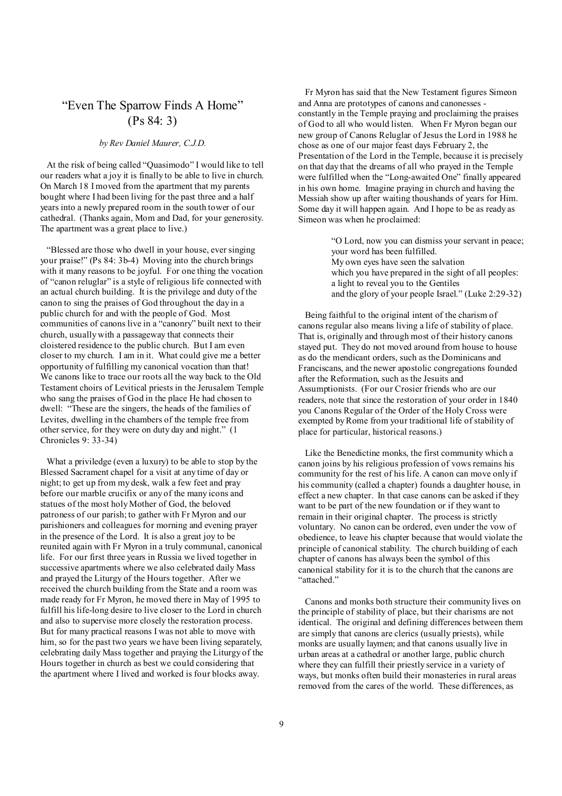# "Even The Sparrow Finds A Home" (Ps 84: 3)

### *by Rev Daniel Maurer, C.J.D.*

At the risk of being called "Quasimodo" I would like to tell our readers what a joy it is finally to be able to live in church. On March 18 I moved from the apartment that my parents bought where I had been living for the past three and a half years into a newly prepared room in the south tower of our cathedral. (Thanks again, Mom and Dad, for your generosity. The apartment was a great place to live.)

"Blessed are those who dwell in your house, ever singing your praise!" (Ps 84: 3b-4) Moving into the church brings with it many reasons to be joyful. For one thing the vocation of "canon reluglar" is a style of religious life connected with an actual church building. It is the privilege and duty of the canon to sing the praises of God throughout the day in a public church for and with the people of God. Most communities of canons live in a "canonry" built next to their church, usually with a passageway that connects their cloistered residence to the public church. But I am even closer to my church. I am in it. What could give me a better opportunity of fulfilling my canonical vocation than that! We canons like to trace our roots all the way back to the Old Testament choirs of Levitical priests in the Jerusalem Temple who sang the praises of God in the place He had chosen to dwell: "These are the singers, the heads of the families of Levites, dwelling in the chambers of the temple free from other service, for they were on duty day and night." (1 Chronicles 9: 33-34)

What a priviledge (even a luxury) to be able to stop by the Blessed Sacrament chapel for a visit at any time of day or night; to get up from my desk, walk a few feet and pray before our marble crucifix or any of the many icons and statues of the most holy Mother of God, the beloved patroness of our parish; to gather with Fr Myron and our parishioners and colleagues for morning and evening prayer in the presence of the Lord. It is also a great joy to be reunited again with Fr Myron in a truly communal, canonical life. For our first three years in Russia we lived together in successive apartments where we also celebrated daily Mass and prayed the Liturgy of the Hours together. After we received the church building from the State and a room was made ready for Fr Myron, he moved there in May of 1995 to fulfill his life-long desire to live closer to the Lord in church and also to supervise more closely the restoration process. But for many practical reasons I was not able to move with him, so for the past two years we have been living separately. celebrating daily Mass together and praying the Liturgy of the Hours together in church as best we could considering that the apartment where I lived and worked is four blocks away.

 Fr Myron has said that the New Testament figures Simeon and Anna are prototypes of canons and canonesses constantly in the Temple praying and proclaiming the praises of God to all who would listen. When Fr Myron began our new group of Canons Reluglar of Jesus the Lord in 1988 he chose as one of our major feast days February 2, the Presentation of the Lord in the Temple, because it is precisely on that day that the dreams of all who prayed in the Temple were fulfilled when the "Long-awaited One" finally appeared in his own home. Imagine praying in church and having the Messiah show up after waiting thoushands of years for Him. Some day it will happen again. And I hope to be as ready as Simeon was when he proclaimed:

> "O Lord, now you can dismiss your servant in peace; your word has been fulfilled. My own eyes have seen the salvation which you have prepared in the sight of all peoples: a light to reveal you to the Gentiles and the glory of your people Israel." (Luke 2:29-32)

 Being faithful to the original intent of the charism of canons regular also means living a life of stability of place. That is, originally and through most of their history canons stayed put. They do not moved around from house to house as do the mendicant orders, such as the Dominicans and Franciscans, and the newer apostolic congregations founded after the Reformation, such as the Jesuits and Assumptionists. (For our Crosier friends who are our readers, note that since the restoration of your order in 1840 you Canons Regular of the Order of the Holy Cross were exempted byRome from your traditional life of stability of place for particular, historical reasons.)

 Like the Benedictine monks, the first community which a canon joins by his religious profession of vows remains his community for the rest of his life. A canon can move only if his community (called a chapter) founds a daughter house, in effect a new chapter. In that case canons can be asked if they want to be part of the new foundation or if they want to remain in their original chapter. The process is strictly voluntary. No canon can be ordered, even under the vow of obedience, to leave his chapter because that would violate the principle of canonical stability. The church building of each chapter of canons has always been the symbol of this canonical stability for it is to the church that the canons are "attached."

 Canons and monks both structure their community lives on the principle of stability of place, but their charisms are not identical. The original and defining differences between them are simply that canons are clerics (usually priests), while monks are usually laymen; and that canons usually live in urban areas at a cathedral or another large, public church where they can fulfill their priestly service in a variety of ways, but monks often build their monasteries in rural areas removed from the cares of the world. These differences, as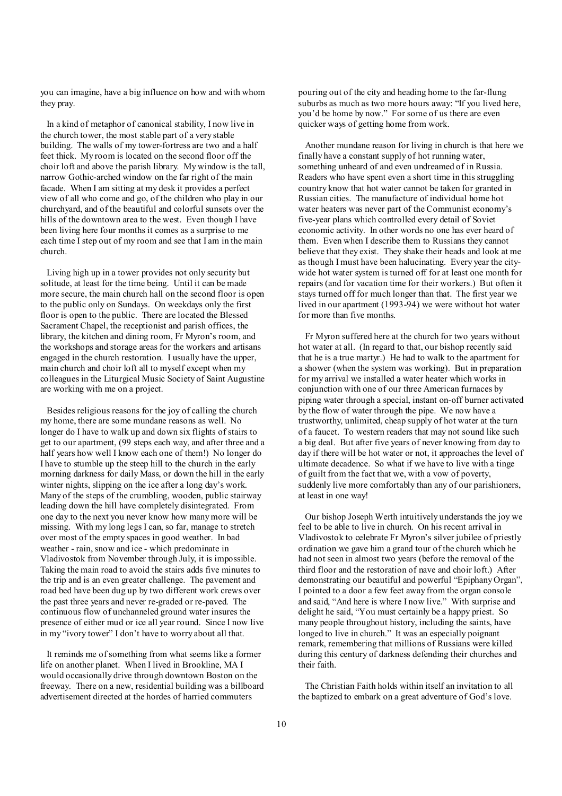you can imagine, have a big influence on how and with whom they pray.

In a kind of metaphor of canonical stability, I now live in the church tower, the most stable part of a very stable building. The walls of my tower-fortress are two and a half feet thick. My room is located on the second floor off the choir loft and above the parish library. My window is the tall, narrow Gothic-arched window on the far right of the main facade. When I am sitting at my desk it provides a perfect view of all who come and go, of the children who play in our churchyard, and of the beautiful and colorful sunsets over the hills of the downtown area to the west. Even though I have been living here four months it comes as a surprise to me each time I step out of my room and see that I am in the main church.

Living high up in a tower provides not only security but solitude, at least for the time being. Until it can be made more secure, the main church hall on the second floor is open to the public only on Sundays. On weekdays only the first floor is open to the public. There are located the Blessed Sacrament Chapel, the receptionist and parish offices, the library, the kitchen and dining room, Fr Myron's room, and the workshops and storage areas for the workers and artisans engaged in the church restoration. I usually have the upper, main church and choir loft all to myself except when my colleagues in the Liturgical Music Society of Saint Augustine are working with me on a project.

Besides religious reasons for the joy of calling the church my home, there are some mundane reasons as well. No longer do I have to walk up and down six flights of stairs to get to our apartment, (99 steps each way, and after three and a half years how well I know each one of them!) No longer do I have to stumble up the steep hill to the church in the early morning darkness for daily Mass, or down the hill in the early winter nights, slipping on the ice after a long day's work. Many of the steps of the crumbling, wooden, public stairway leading down the hill have completely disintegrated. From one day to the next you never know how manymore will be missing. With my long legs I can, so far, manage to stretch over most of the empty spaces in good weather. In bad weather - rain, snow and ice - which predominate in Vladivostok from November through July, it is impossible. Taking the main road to avoid the stairs adds five minutes to the trip and is an even greater challenge. The pavement and road bed have been dug up by two different work crews over the past three years and never re-graded or re-paved. The continuous flow of unchanneled ground water insures the presence of either mud or ice all year round. Since I now live in my "ivory tower" I don't have to worry about all that.

It reminds me of something from what seems like a former life on another planet. When I lived in Brookline, MA I would occasionally drive through downtown Boston on the freeway. There on a new, residential building was a billboard advertisement directed at the hordes of harried commuters

pouring out of the city and heading home to the far-flung suburbs as much as two more hours away: "If you lived here, you'd be home by now." For some of us there are even quicker ways of getting home from work.

 Another mundane reason for living in church is that here we finally have a constant supply of hot running water, something unheard of and even undreamed of in Russia. Readers who have spent even a short time in this struggling country know that hot water cannot be taken for granted in Russian cities. The manufacture of individual home hot water heaters was never part of the Communist economy's five-year plans which controlled every detail of Soviet economic activity. In other words no one has ever heard of them. Even when I describe them to Russians they cannot believe that they exist. They shake their heads and look at me as though I must have been halucinating. Every year the citywide hot water system is turned off for at least one month for repairs (and for vacation time for their workers.) But often it stays turned off for much longer than that. The first year we lived in our apartment (1993-94) we were without hot water for more than five months.

 Fr Myron suffered here at the church for two years without hot water at all. (In regard to that, our bishop recently said that he is a true martyr.) He had to walk to the apartment for a shower (when the system was working). But in preparation for my arrival we installed a water heater which works in conjunction with one of our three American furnaces by piping water through a special, instant on-off burner activated by the flow of water through the pipe. We now have a trustworthy, unlimited, cheap supply of hot water at the turn of a faucet. To western readers that may not sound like such a big deal. But after five years of never knowing from day to day if there will be hot water or not, it approaches the level of ultimate decadence. So what if we have to live with a tinge of guilt from the fact that we, with a vow of poverty, suddenly live more comfortably than any of our parishioners, at least in one way!

 Our bishop Joseph Werth intuitively understands the joy we feel to be able to live in church. On his recent arrival in Vladivostok to celebrate Fr Myron's silver jubilee of priestly ordination we gave him a grand tour of the church which he had not seen in almost two years (before the removal of the third floor and the restoration of nave and choir loft.) After demonstrating our beautiful and powerful "Epiphany Organ", I pointed to a door a few feet away from the organ console and said, "And here is where I now live." With surprise and delight he said, "You must certainly be a happy priest. So many people throughout history, including the saints, have longed to live in church." It was an especially poignant remark, remembering that millions of Russians were killed during this century of darkness defending their churches and their faith.

 The Christian Faith holds within itself an invitation to all the baptized to embark on a great adventure of God's love.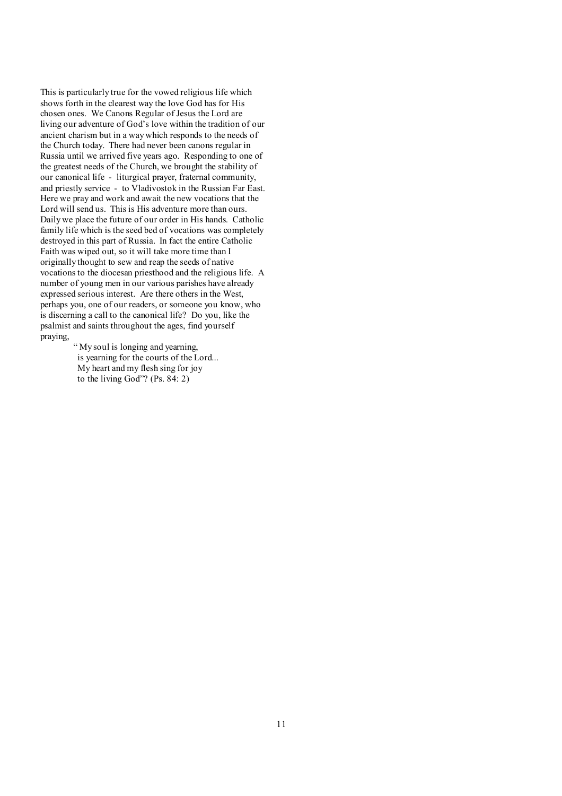This is particularly true for the vowed religious life which shows forth in the clearest way the love God has for His chosen ones. We Canons Regular of Jesus the Lord are living our adventure of God's love within the tradition of our ancient charism but in a way which responds to the needs of the Church today. There had never been canons regular in Russia until we arrived five years ago. Responding to one of the greatest needs of the Church, we brought the stability of our canonical life - liturgical prayer, fraternal community, and priestly service - to Vladivostok in the Russian Far East. Here we pray and work and await the new vocations that the Lord will send us. This is His adventure more than ours. Daily we place the future of our order in His hands. Catholic family life which is the seed bed of vocations was completely destroyed in this part of Russia. In fact the entire Catholic Faith was wiped out, so it will take more time than I originally thought to sew and reap the seeds of native vocations to the diocesan priesthood and the religious life. A number of young men in our various parishes have already expressed serious interest. Are there others in the West, perhaps you, one of our readers, or someone you know, who is discerning a call to the canonical life? Do you, like the psalmist and saints throughout the ages, find yourself praying,

" My soul is longing and yearning, is yearning for the courts of the Lord... My heart and my flesh sing for joy to the living God"? (Ps. 84: 2)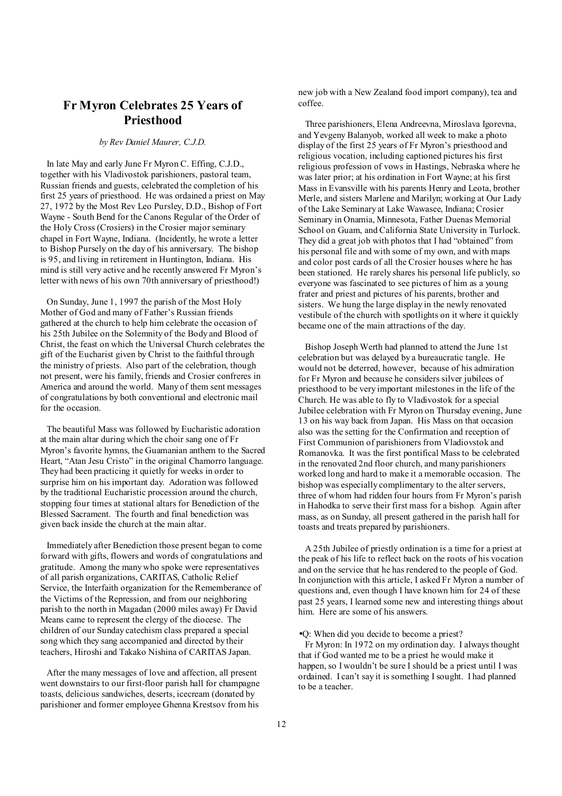# **Fr Myron Celebrates 25 Years of Priesthood**

### *by Rev Daniel Maurer, C.J.D.*

In late May and early June Fr Myron C. Effing, C.J.D., together with his Vladivostok parishioners, pastoral team, Russian friends and guests, celebrated the completion of his first 25 years of priesthood. He was ordained a priest on May 27, 1972 by the Most Rev Leo Pursley, D.D., Bishop of Fort Wayne - South Bend for the Canons Regular of the Order of the Holy Cross (Crosiers) in the Crosier major seminary chapel in Fort Wayne, Indiana. (Incidently, he wrote a letter to Bishop Pursely on the day of his anniversary. The bishop is 95, and living in retirement in Huntington, Indiana. His mind is still very active and he recently answered Fr Myron's letter with news of his own 70th anniversary of priesthood!)

On Sunday, June 1, 1997 the parish of the Most Holy Mother of God and many of Father's Russian friends gathered at the church to help him celebrate the occasion of his 25th Jubilee on the Solemnity of the Body and Blood of Christ, the feast on which the Universal Church celebrates the gift of the Eucharist given by Christ to the faithful through the ministry of priests. Also part of the celebration, though not present, were his family, friends and Crosier confreres in America and around the world. Many of them sent messages of congratulations by both conventional and electronic mail for the occasion.

The beautiful Mass was followed by Eucharistic adoration at the main altar during which the choir sang one of Fr Myron's favorite hymns, the Guamanian anthem to the Sacred Heart, "Atan Jesu Cristo" in the original Chamorro language. They had been practicing it quietly for weeks in order to surprise him on his important day. Adoration was followed by the traditional Eucharistic procession around the church, stopping four times at stational altars for Benediction of the Blessed Sacrament. The fourth and final benediction was given back inside the church at the main altar.

Immediately after Benediction those present began to come forward with gifts, flowers and words of congratulations and gratitude. Among the many who spoke were representatives of all parish organizations, CARITAS, Catholic Relief Service, the Interfaith organization for the Rememberance of the Victims of the Repression, and from our neighboring parish to the north in Magadan (2000 miles away) Fr David Means came to represent the clergy of the diocese. The children of our Sunday catechism class prepared a special song which they sang accompanied and directed by their teachers, Hiroshi and Takako Nishina of CARITAS Japan.

After the many messages of love and affection, all present went downstairs to our first-floor parish hall for champagne toasts, delicious sandwiches, deserts, icecream (donated by parishioner and former employee Ghenna Krestsov from his

new job with a New Zealand food import company), tea and coffee.

 Three parishioners, Elena Andreevna, Miroslava Igorevna, and Yevgeny Balanyob, worked all week to make a photo display of the first 25 years of Fr Myron's priesthood and religious vocation, including captioned pictures his first religious profession of vows in Hastings, Nebraska where he was later prior; at his ordination in Fort Wayne; at his first Mass in Evansville with his parents Henry and Leota, brother Merle, and sisters Marlene and Marilyn; working at Our Lady of the Lake Seminary at Lake Wawasee, Indiana; Crosier Seminary in Onamia, Minnesota, Father Duenas Memorial School on Guam, and California State University in Turlock. They did a great job with photos that I had "obtained" from his personal file and with some of my own, and with maps and color post cards of all the Crosier houses where he has been stationed. He rarely shares his personal life publicly, so everyone was fascinated to see pictures of him as a young frater and priest and pictures of his parents, brother and sisters. We hung the large display in the newly renovated vestibule of the church with spotlights on it where it quickly became one of the main attractions of the day.

 Bishop Joseph Werth had planned to attend the June 1st celebration but was delayed by a bureaucratic tangle. He would not be deterred, however, because of his admiration for Fr Myron and because he considers silver jubilees of priesthood to be very important milestones in the life of the Church. He was able to fly to Vladivostok for a special Jubilee celebration with Fr Myron on Thursday evening, June 13 on his way back from Japan. His Mass on that occasion also was the setting for the Confirmation and reception of First Communion of parishioners from Vladiovstok and Romanovka. It was the first pontifical Mass to be celebrated in the renovated 2nd floor church, and many parishioners worked long and hard to make it a memorable occasion. The bishop was especially complimentary to the alter servers, three of whom had ridden four hours from Fr Myron's parish in Hahodka to serve their first mass for a bishop. Again after mass, as on Sunday, all present gathered in the parish hall for toasts and treats prepared by parishioners.

 A 25th Jubilee of priestly ordination is a time for a priest at the peak of his life to reflect back on the roots of his vocation and on the service that he has rendered to the people of God. In conjunction with this article, I asked Fr Myron a number of questions and, even though I have known him for 24 of these past 25 years, I learned some new and interesting things about him. Here are some of his answers.

•Q: When did you decide to become a priest?

 Fr Myron: In 1972 on my ordination day. I always thought that if God wanted me to be a priest he would make it happen, so I wouldn't be sure I should be a priest until I was ordained. I can't say it is something I sought. I had planned to be a teacher.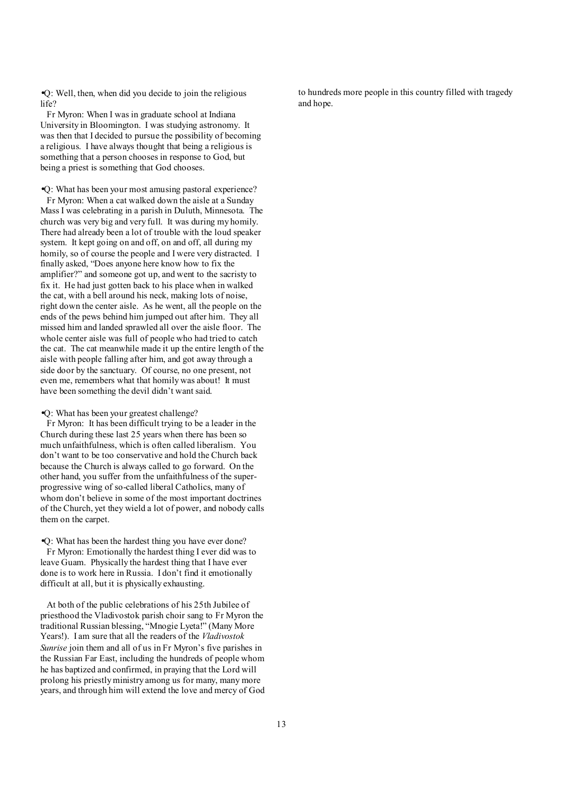•Q: Well, then, when did you decide to join the religious life?

Fr Myron: When I was in graduate school at Indiana University in Bloomington. I was studying astronomy. It was then that I decided to pursue the possibility of becoming a religious. I have always thought that being a religious is something that a person chooses in response to God, but being a priest is something that God chooses.

•Q: What has been your most amusing pastoral experience? Fr Myron: When a cat walked down the aisle at a Sunday Mass I was celebrating in a parish in Duluth, Minnesota. The church was very big and very full. It was during my homily. There had already been a lot of trouble with the loud speaker system. It kept going on and off, on and off, all during my homily, so of course the people and I were very distracted. I finally asked, "Does anyone here know how to fix the amplifier?" and someone got up, and went to the sacristy to fix it. He had just gotten back to his place when in walked the cat, with a bell around his neck, making lots of noise, right down the center aisle. As he went, all the people on the ends of the pews behind him jumped out after him. They all missed him and landed sprawled all over the aisle floor. The whole center aisle was full of people who had tried to catch the cat. The cat meanwhile made it up the entire length of the aisle with people falling after him, and got away through a side door by the sanctuary. Of course, no one present, not even me, remembers what that homily was about! It must have been something the devil didn't want said.

#### •Q: What has been your greatest challenge?

Fr Myron: It has been difficult trying to be a leader in the Church during these last 25 years when there has been so much unfaithfulness, which is often called liberalism. You don't want to be too conservative and hold the Church back because the Church is always called to go forward. On the other hand, you suffer from the unfaithfulness of the superprogressive wing of so-called liberal Catholics, many of whom don't believe in some of the most important doctrines of the Church, yet they wield a lot of power, and nobody calls them on the carpet.

•Q: What has been the hardest thing you have ever done?

Fr Myron: Emotionally the hardest thing I ever did was to leave Guam. Physically the hardest thing that I have ever done is to work here in Russia. I don't find it emotionally difficult at all, but it is physically exhausting.

At both of the public celebrations of his 25th Jubilee of priesthood the Vladivostok parish choir sang to Fr Myron the traditional Russian blessing, "Mnogie Lyeta!" (Many More Years!). I am sure that all the readers of the *Vladivostok Sunrise* join them and all of us in Fr Myron's five parishes in the Russian Far East, including the hundreds of people whom he has baptized and confirmed, in praying that the Lord will prolong his priestlyministry among us for many, many more years, and through him will extend the love and mercy of God to hundreds more people in this country filled with tragedy and hope.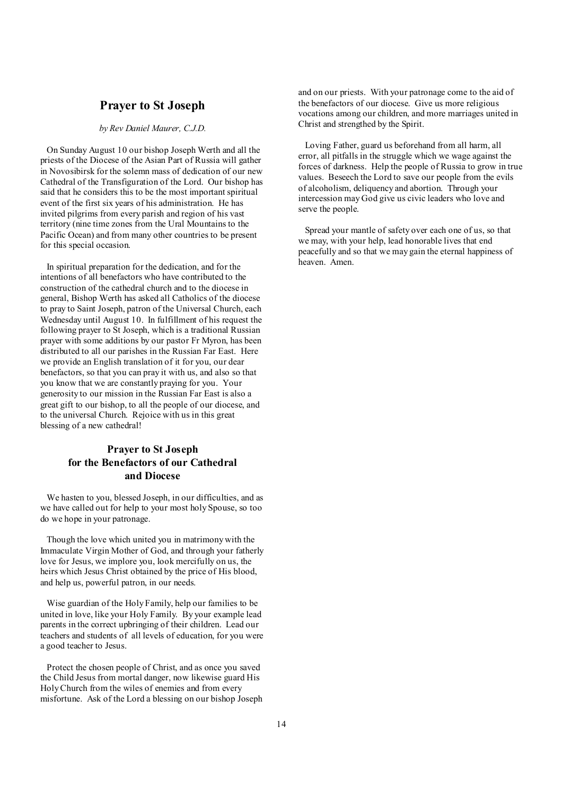### **Prayer to St Joseph**

*by Rev Daniel Maurer, C.J.D.* 

On Sunday August 10 our bishop Joseph Werth and all the priests of the Diocese of the Asian Part of Russia will gather in Novosibirsk for the solemn mass of dedication of our new Cathedral of the Transfiguration of the Lord. Our bishop has said that he considers this to be the most important spiritual event of the first six years of his administration. He has invited pilgrims from every parish and region of his vast territory (nine time zones from the Ural Mountains to the Pacific Ocean) and from many other countries to be present for this special occasion.

In spiritual preparation for the dedication, and for the intentions of all benefactors who have contributed to the construction of the cathedral church and to the diocese in general, Bishop Werth has asked all Catholics of the diocese to pray to Saint Joseph, patron of the Universal Church, each Wednesday until August 10. In fulfillment of his request the following prayer to St Joseph, which is a traditional Russian prayer with some additions by our pastor Fr Myron, has been distributed to all our parishes in the Russian Far East. Here we provide an English translation of it for you, our dear benefactors, so that you can pray it with us, and also so that you know that we are constantly praying for you. Your generosity to our mission in the Russian Far East is also a great gift to our bishop, to all the people of our diocese, and to the universal Church. Rejoice with us in this great blessing of a new cathedral!

### **Prayer to St Joseph for the Benefactors of our Cathedral and Diocese**

We hasten to you, blessed Joseph, in our difficulties, and as we have called out for help to your most holy Spouse, so too do we hope in your patronage.

Though the love which united you in matrimony with the Immaculate Virgin Mother of God, and through your fatherly love for Jesus, we implore you, look mercifully on us, the heirs which Jesus Christ obtained by the price of His blood, and help us, powerful patron, in our needs.

Wise guardian of the Holy Family, help our families to be united in love, like your Holy Family. By your example lead parents in the correct upbringing of their children. Lead our teachers and students of all levels of education, for you were a good teacher to Jesus.

Protect the chosen people of Christ, and as once you saved the Child Jesus from mortal danger, now likewise guard His Holy Church from the wiles of enemies and from every misfortune. Ask of the Lord a blessing on our bishop Joseph and on our priests. With your patronage come to the aid of the benefactors of our diocese. Give us more religious vocations among our children, and more marriages united in Christ and strengthed by the Spirit.

 Loving Father, guard us beforehand from all harm, all error, all pitfalls in the struggle which we wage against the forces of darkness. Help the people of Russia to grow in true values. Beseech the Lord to save our people from the evils of alcoholism, deliquency and abortion. Through your intercession may God give us civic leaders who love and serve the people.

 Spread your mantle of safety over each one of us, so that we may, with your help, lead honorable lives that end peacefully and so that we may gain the eternal happiness of heaven. Amen.